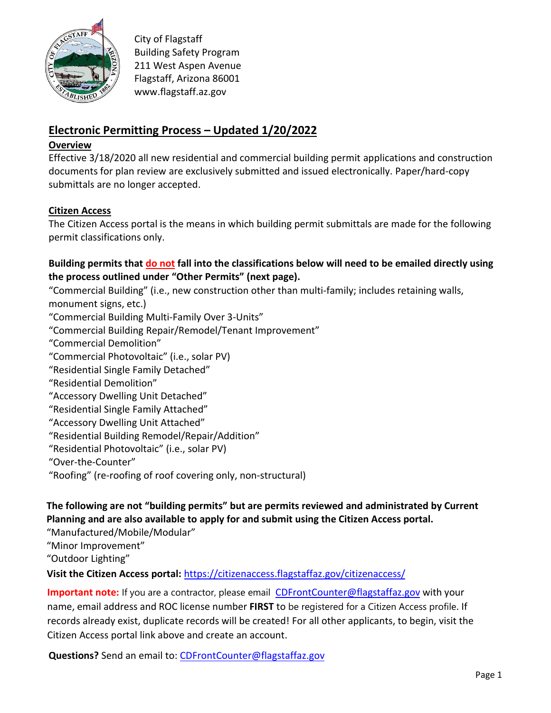

City of Flagstaff Building Safety Program 211 West Aspen Avenue Flagstaff, Arizona 86001 www.flagstaff.az.gov

# **Electronic Permitting Process – Updated 1/20/2022**

#### **Overview**

Effective 3/18/2020 all new residential and commercial building permit applications and construction documents for plan review are exclusively submitted and issued electronically. Paper/hard-copy submittals are no longer accepted.

### **Citizen Access**

The Citizen Access portal is the means in which building permit submittals are made for the following permit classifications only.

## **Building permits that do not fall into the classifications below will need to be emailed directly using the process outlined under "Other Permits" (next page).**

"Commercial Building" (i.e., new construction other than multi-family; includes retaining walls, monument signs, etc.)

"Commercial Building Multi-Family Over 3-Units"

- "Commercial Building Repair/Remodel/Tenant Improvement"
- "Commercial Demolition"
- "Commercial Photovoltaic" (i.e., solar PV)
- "Residential Single Family Detached"
- "Residential Demolition"
- "Accessory Dwelling Unit Detached"
- "Residential Single Family Attached"
- "Accessory Dwelling Unit Attached"
- "Residential Building Remodel/Repair/Addition"
- "Residential Photovoltaic" (i.e., solar PV)
- "Over-the-Counter"
- "Roofing" (re-roofing of roof covering only, non-structural)

## **The following are not "building permits" but are permits reviewed and administrated by Current Planning and are also available to apply for and submit using the Citizen Access portal.**

"Manufactured/Mobile/Modular"

"Minor Improvement"

"Outdoor Lighting"

**Visit the Citizen Access portal:** https://citizenaccess.flagstaffaz.g[ov/citizenaccess/](mailto:CDFrontCounter@flagstaffaz.gov)

**Important note:** If you are a contractor, please email CDFrontCounter@flagstaffaz.gov with your name, email address and ROC license number **FIRST** to be registered for a Citizen Access profile. If records already exist, duplicate records will be created! For all other applicants, to begin, visit the Citizen Access portal link abo[ve and create an account.](mailto:CDFrontCounter@flagstaffaz.gov)

**Questions?** Send an email to: CDFrontCounter@flagstaffaz.gov